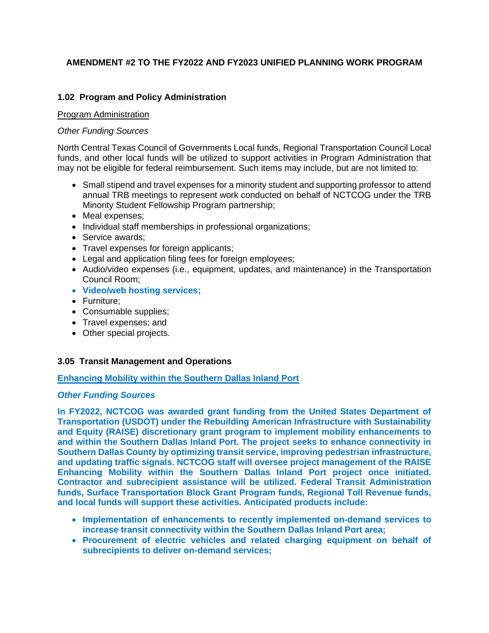## **AMENDMENT #2 TO THE FY2022 AND FY2023 UNIFIED PLANNING WORK PROGRAM**

## **1.02 Program and Policy Administration**

#### Program Administration

#### *Other Funding Sources*

North Central Texas Council of Governments Local funds, Regional Transportation Council Local funds, and other local funds will be utilized to support activities in Program Administration that may not be eligible for federal reimbursement. Such items may include, but are not limited to:

- Small stipend and travel expenses for a minority student and supporting professor to attend annual TRB meetings to represent work conducted on behalf of NCTCOG under the TRB Minority Student Fellowship Program partnership;
- Meal expenses;
- Individual staff memberships in professional organizations;
- Service awards:
- Travel expenses for foreign applicants;
- Legal and application filing fees for foreign employees;
- Audio/video expenses (i.e., equipment, updates, and maintenance) in the Transportation Council Room;
- **Video/web hosting services;**
- Furniture;
- Consumable supplies;
- Travel expenses; and
- Other special projects.

#### **3.05 Transit Management and Operations**

#### **Enhancing Mobility within the Southern Dallas Inland Port**

#### *Other Funding Sources*

**In FY2022, NCTCOG was awarded grant funding from the United States Department of Transportation (USDOT) under the Rebuilding American Infrastructure with Sustainability and Equity (RAISE) discretionary grant program to implement mobility enhancements to and within the Southern Dallas Inland Port. The project seeks to enhance connectivity in Southern Dallas County by optimizing transit service, improving pedestrian infrastructure, and updating traffic signals. NCTCOG staff will oversee project management of the RAISE Enhancing Mobility within the Southern Dallas Inland Port project once initiated. Contractor and subrecipient assistance will be utilized. Federal Transit Administration funds, Surface Transportation Block Grant Program funds, Regional Toll Revenue funds, and local funds will support these activities. Anticipated products include:** 

- **Implementation of enhancements to recently implemented on-demand services to increase transit connectivity within the Southern Dallas Inland Port area;**
- **Procurement of electric vehicles and related charging equipment on behalf of subrecipients to deliver on-demand services;**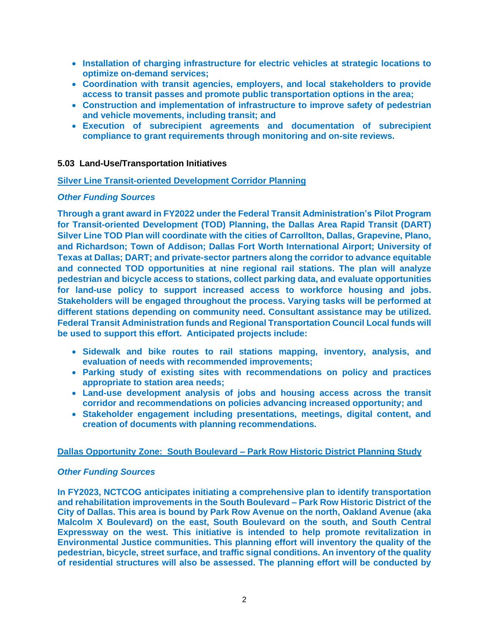- **Installation of charging infrastructure for electric vehicles at strategic locations to optimize on-demand services;**
- **Coordination with transit agencies, employers, and local stakeholders to provide access to transit passes and promote public transportation options in the area;**
- **Construction and implementation of infrastructure to improve safety of pedestrian and vehicle movements, including transit; and**
- **Execution of subrecipient agreements and documentation of subrecipient compliance to grant requirements through monitoring and on-site reviews.**

## **5.03 Land-Use/Transportation Initiatives**

## **Silver Line Transit-oriented Development Corridor Planning**

## *Other Funding Sources*

**Through a grant award in FY2022 under the Federal Transit Administration's Pilot Program for Transit-oriented Development (TOD) Planning, the Dallas Area Rapid Transit (DART) Silver Line TOD Plan will coordinate with the cities of Carrollton, Dallas, Grapevine, Plano, and Richardson; Town of Addison; Dallas Fort Worth International Airport; University of Texas at Dallas; DART; and private-sector partners along the corridor to advance equitable and connected TOD opportunities at nine regional rail stations. The plan will analyze pedestrian and bicycle access to stations, collect parking data, and evaluate opportunities for land-use policy to support increased access to workforce housing and jobs. Stakeholders will be engaged throughout the process. Varying tasks will be performed at different stations depending on community need. Consultant assistance may be utilized. Federal Transit Administration funds and Regional Transportation Council Local funds will be used to support this effort. Anticipated projects include:**

- **Sidewalk and bike routes to rail stations mapping, inventory, analysis, and evaluation of needs with recommended improvements;**
- **Parking study of existing sites with recommendations on policy and practices appropriate to station area needs;**
- **Land-use development analysis of jobs and housing access across the transit corridor and recommendations on policies advancing increased opportunity; and**
- **Stakeholder engagement including presentations, meetings, digital content, and creation of documents with planning recommendations.**

#### **Dallas Opportunity Zone: South Boulevard – Park Row Historic District Planning Study**

#### *Other Funding Sources*

**In FY2023, NCTCOG anticipates initiating a comprehensive plan to identify transportation and rehabilitation improvements in the South Boulevard – Park Row Historic District of the City of Dallas. This area is bound by Park Row Avenue on the north, Oakland Avenue (aka Malcolm X Boulevard) on the east, South Boulevard on the south, and South Central Expressway on the west. This initiative is intended to help promote revitalization in Environmental Justice communities. This planning effort will inventory the quality of the pedestrian, bicycle, street surface, and traffic signal conditions. An inventory of the quality of residential structures will also be assessed. The planning effort will be conducted by**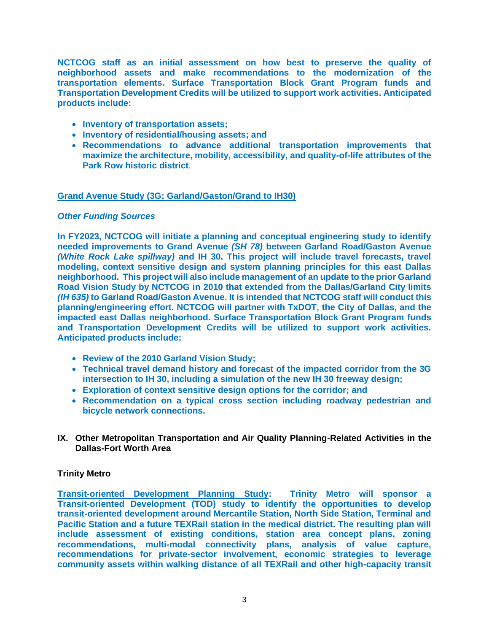**NCTCOG staff as an initial assessment on how best to preserve the quality of neighborhood assets and make recommendations to the modernization of the transportation elements. Surface Transportation Block Grant Program funds and Transportation Development Credits will be utilized to support work activities. Anticipated products include:**

- **Inventory of transportation assets;**
- **Inventory of residential/housing assets; and**
- **Recommendations to advance additional transportation improvements that maximize the architecture, mobility, accessibility, and quality-of-life attributes of the Park Row historic district**.

#### **Grand Avenue Study (3G: Garland/Gaston/Grand to IH30)**

#### *Other Funding Sources*

**In FY2023, NCTCOG will initiate a planning and conceptual engineering study to identify needed improvements to Grand Avenue** *(SH 78)* **between Garland Road/Gaston Avenue**  *(White Rock Lake spillway)* **and IH 30. This project will include travel forecasts, travel modeling, context sensitive design and system planning principles for this east Dallas neighborhood. This project will also include management of an update to the prior Garland Road Vision Study by NCTCOG in 2010 that extended from the Dallas/Garland City limits**  *(IH 635)* **to Garland Road/Gaston Avenue. It is intended that NCTCOG staff will conduct this planning/engineering effort. NCTCOG will partner with TxDOT, the City of Dallas, and the impacted east Dallas neighborhood. Surface Transportation Block Grant Program funds and Transportation Development Credits will be utilized to support work activities. Anticipated products include:**

- **Review of the 2010 Garland Vision Study;**
- **Technical travel demand history and forecast of the impacted corridor from the 3G intersection to IH 30, including a simulation of the new IH 30 freeway design;**
- **Exploration of context sensitive design options for the corridor; and**
- **Recommendation on a typical cross section including roadway pedestrian and bicycle network connections.**
- **IX. Other Metropolitan Transportation and Air Quality Planning-Related Activities in the Dallas-Fort Worth Area**

#### **Trinity Metro**

**Transit-oriented Development Planning Study: Trinity Metro will sponsor a Transit-oriented Development (TOD) study to identify the opportunities to develop transit-oriented development around Mercantile Station, North Side Station, Terminal and Pacific Station and a future TEXRail station in the medical district. The resulting plan will include assessment of existing conditions, station area concept plans, zoning recommendations, multi-modal connectivity plans, analysis of value capture, recommendations for private-sector involvement, economic strategies to leverage community assets within walking distance of all TEXRail and other high-capacity transit**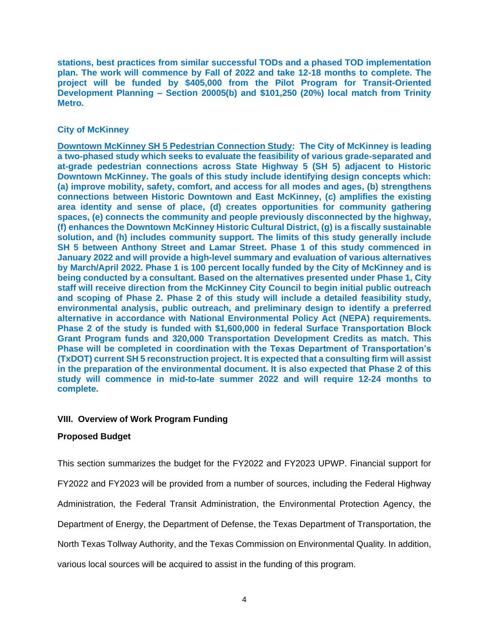**stations, best practices from similar successful TODs and a phased TOD implementation plan. The work will commence by Fall of 2022 and take 12-18 months to complete. The project will be funded by \$405,000 from the Pilot Program for Transit-Oriented Development Planning – Section 20005(b) and \$101,250 (20%) local match from Trinity Metro.**

## **City of McKinney**

**Downtown McKinney SH 5 Pedestrian Connection Study: The City of McKinney is leading a two-phased study which seeks to evaluate the feasibility of various grade-separated and at-grade pedestrian connections across State Highway 5 (SH 5) adjacent to Historic Downtown McKinney. The goals of this study include identifying design concepts which: (a) improve mobility, safety, comfort, and access for all modes and ages, (b) strengthens connections between Historic Downtown and East McKinney, (c) amplifies the existing area identity and sense of place, (d) creates opportunities for community gathering spaces, (e) connects the community and people previously disconnected by the highway, (f) enhances the Downtown McKinney Historic Cultural District, (g) is a fiscally sustainable solution, and (h) includes community support. The limits of this study generally include SH 5 between Anthony Street and Lamar Street. Phase 1 of this study commenced in January 2022 and will provide a high-level summary and evaluation of various alternatives by March/April 2022. Phase 1 is 100 percent locally funded by the City of McKinney and is being conducted by a consultant. Based on the alternatives presented under Phase 1, City staff will receive direction from the McKinney City Council to begin initial public outreach and scoping of Phase 2. Phase 2 of this study will include a detailed feasibility study, environmental analysis, public outreach, and preliminary design to identify a preferred alternative in accordance with National Environmental Policy Act (NEPA) requirements. Phase 2 of the study is funded with \$1,600,000 in federal Surface Transportation Block Grant Program funds and 320,000 Transportation Development Credits as match. This Phase will be completed in coordination with the Texas Department of Transportation's (TxDOT) current SH 5 reconstruction project. It is expected that a consulting firm will assist in the preparation of the environmental document. It is also expected that Phase 2 of this study will commence in mid-to-late summer 2022 and will require 12-24 months to complete.** 

#### **VIII. Overview of Work Program Funding**

#### **Proposed Budget**

This section summarizes the budget for the FY2022 and FY2023 UPWP. Financial support for

FY2022 and FY2023 will be provided from a number of sources, including the Federal Highway

Administration, the Federal Transit Administration, the Environmental Protection Agency, the

Department of Energy, the Department of Defense, the Texas Department of Transportation, the

North Texas Tollway Authority, and the Texas Commission on Environmental Quality. In addition,

various local sources will be acquired to assist in the funding of this program.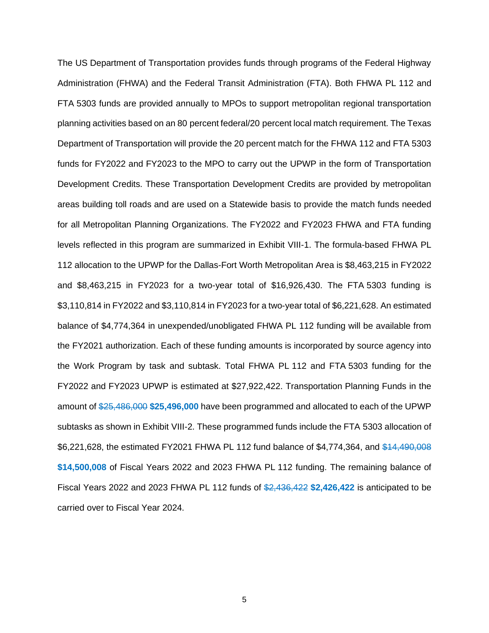The US Department of Transportation provides funds through programs of the Federal Highway Administration (FHWA) and the Federal Transit Administration (FTA). Both FHWA PL 112 and FTA 5303 funds are provided annually to MPOs to support metropolitan regional transportation planning activities based on an 80 percent federal/20 percent local match requirement. The Texas Department of Transportation will provide the 20 percent match for the FHWA 112 and FTA 5303 funds for FY2022 and FY2023 to the MPO to carry out the UPWP in the form of Transportation Development Credits. These Transportation Development Credits are provided by metropolitan areas building toll roads and are used on a Statewide basis to provide the match funds needed for all Metropolitan Planning Organizations. The FY2022 and FY2023 FHWA and FTA funding levels reflected in this program are summarized in Exhibit VIII-1. The formula-based FHWA PL 112 allocation to the UPWP for the Dallas-Fort Worth Metropolitan Area is \$8,463,215 in FY2022 and \$8,463,215 in FY2023 for a two-year total of \$16,926,430. The FTA 5303 funding is \$3,110,814 in FY2022 and \$3,110,814 in FY2023 for a two-year total of \$6,221,628. An estimated balance of \$4,774,364 in unexpended/unobligated FHWA PL 112 funding will be available from the FY2021 authorization. Each of these funding amounts is incorporated by source agency into the Work Program by task and subtask. Total FHWA PL 112 and FTA 5303 funding for the FY2022 and FY2023 UPWP is estimated at \$27,922,422. Transportation Planning Funds in the amount of \$25,486,000 **\$25,496,000** have been programmed and allocated to each of the UPWP subtasks as shown in Exhibit VIII-2. These programmed funds include the FTA 5303 allocation of \$6,221,628, the estimated FY2021 FHWA PL 112 fund balance of \$4,774,364, and \$14,490,008 **\$14,500,008** of Fiscal Years 2022 and 2023 FHWA PL 112 funding. The remaining balance of Fiscal Years 2022 and 2023 FHWA PL 112 funds of \$2,436,422 **\$2,426,422** is anticipated to be carried over to Fiscal Year 2024.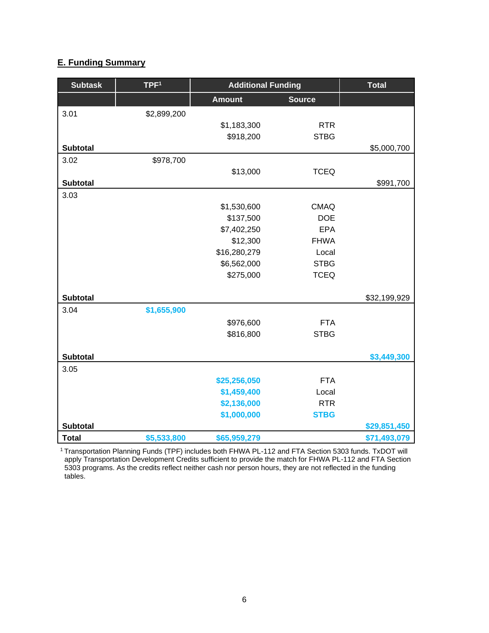## **E. Funding Summary**

| <b>Subtask</b>  | TPF <sup>1</sup> | <b>Additional Funding</b> | <b>Total</b>  |              |
|-----------------|------------------|---------------------------|---------------|--------------|
|                 |                  | <b>Amount</b>             | <b>Source</b> |              |
| 3.01            | \$2,899,200      |                           |               |              |
|                 |                  | \$1,183,300               | <b>RTR</b>    |              |
|                 |                  | \$918,200                 | <b>STBG</b>   |              |
| <b>Subtotal</b> |                  |                           |               | \$5,000,700  |
| 3.02            | \$978,700        |                           |               |              |
|                 |                  | \$13,000                  | <b>TCEQ</b>   |              |
| <b>Subtotal</b> |                  |                           |               | \$991,700    |
| 3.03            |                  |                           |               |              |
|                 |                  | \$1,530,600               | <b>CMAQ</b>   |              |
|                 |                  | \$137,500                 | <b>DOE</b>    |              |
|                 |                  | \$7,402,250               | <b>EPA</b>    |              |
|                 |                  | \$12,300                  | <b>FHWA</b>   |              |
|                 |                  | \$16,280,279              | Local         |              |
|                 |                  | \$6,562,000               | <b>STBG</b>   |              |
|                 |                  | \$275,000                 | <b>TCEQ</b>   |              |
|                 |                  |                           |               |              |
| <b>Subtotal</b> |                  |                           |               | \$32,199,929 |
| 3.04            | \$1,655,900      |                           |               |              |
|                 |                  | \$976,600                 | <b>FTA</b>    |              |
|                 |                  | \$816,800                 | <b>STBG</b>   |              |
|                 |                  |                           |               |              |
| <b>Subtotal</b> |                  |                           |               | \$3,449,300  |
| 3.05            |                  |                           |               |              |
|                 |                  | \$25,256,050              | <b>FTA</b>    |              |
|                 |                  | \$1,459,400               | Local         |              |
|                 |                  | \$2,136,000               | <b>RTR</b>    |              |
|                 |                  | \$1,000,000               | <b>STBG</b>   |              |
| <b>Subtotal</b> |                  |                           |               | \$29,851,450 |
| <b>Total</b>    | \$5,533,800      | \$65,959,279              |               | \$71,493,079 |

<sup>1</sup>Transportation Planning Funds (TPF) includes both FHWA PL-112 and FTA Section 5303 funds. TxDOT will apply Transportation Development Credits sufficient to provide the match for FHWA PL-112 and FTA Section 5303 programs. As the credits reflect neither cash nor person hours, they are not reflected in the funding tables.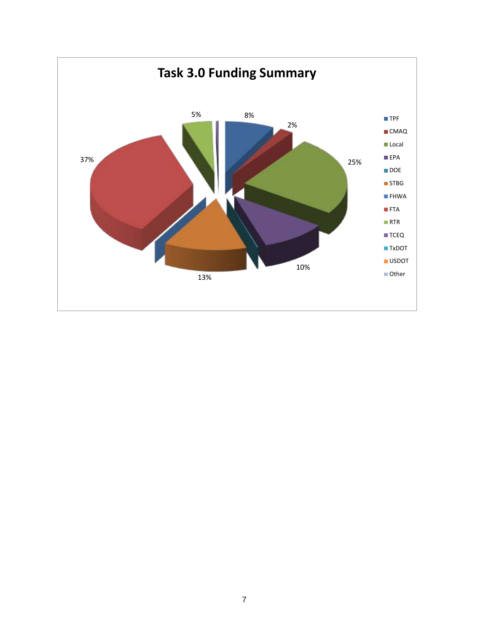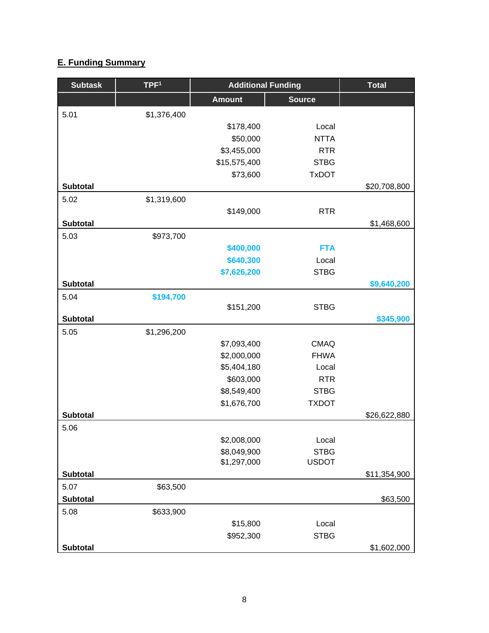# **E. Funding Summary**

| <b>Subtask</b>  | TPF <sup>1</sup> | <b>Additional Funding</b>  |                             | <b>Total</b> |
|-----------------|------------------|----------------------------|-----------------------------|--------------|
|                 |                  | <b>Amount</b>              | <b>Source</b>               |              |
| 5.01            | \$1,376,400      |                            |                             |              |
|                 |                  | \$178,400                  | Local                       |              |
|                 |                  | \$50,000                   | <b>NTTA</b>                 |              |
|                 |                  | \$3,455,000                | <b>RTR</b>                  |              |
|                 |                  | \$15,575,400               | <b>STBG</b>                 |              |
|                 |                  | \$73,600                   | <b>TxDOT</b>                |              |
| <b>Subtotal</b> |                  |                            |                             | \$20,708,800 |
| 5.02            | \$1,319,600      |                            |                             |              |
|                 |                  | \$149,000                  | <b>RTR</b>                  |              |
| <b>Subtotal</b> |                  |                            |                             | \$1,468,600  |
| 5.03            | \$973,700        |                            |                             |              |
|                 |                  | \$400,000                  | <b>FTA</b>                  |              |
|                 |                  | \$640,300                  | Local                       |              |
|                 |                  | \$7,626,200                | <b>STBG</b>                 |              |
| <b>Subtotal</b> |                  |                            |                             | \$9,640,200  |
| 5.04            | \$194,700        |                            |                             |              |
|                 |                  | \$151,200                  | <b>STBG</b>                 |              |
| <b>Subtotal</b> |                  |                            |                             | \$345,900    |
| 5.05            | \$1,296,200      |                            |                             |              |
|                 |                  | \$7,093,400                | <b>CMAQ</b>                 |              |
|                 |                  | \$2,000,000                | <b>FHWA</b>                 |              |
|                 |                  | \$5,404,180                | Local                       |              |
|                 |                  | \$603,000                  | <b>RTR</b>                  |              |
|                 |                  | \$8,549,400                | <b>STBG</b>                 |              |
|                 |                  | \$1,676,700                | <b>TXDOT</b>                |              |
| <b>Subtotal</b> |                  |                            |                             | \$26,622,880 |
| 5.06            |                  |                            |                             |              |
|                 |                  | \$2,008,000                | Local                       |              |
|                 |                  | \$8,049,900<br>\$1,297,000 | <b>STBG</b><br><b>USDOT</b> |              |
| <b>Subtotal</b> |                  |                            |                             | \$11,354,900 |
| 5.07            | \$63,500         |                            |                             |              |
| <b>Subtotal</b> |                  |                            |                             | \$63,500     |
| 5.08            | \$633,900        |                            |                             |              |
|                 |                  | \$15,800                   | Local                       |              |
|                 |                  | \$952,300                  | <b>STBG</b>                 |              |
| <b>Subtotal</b> |                  |                            |                             | \$1,602,000  |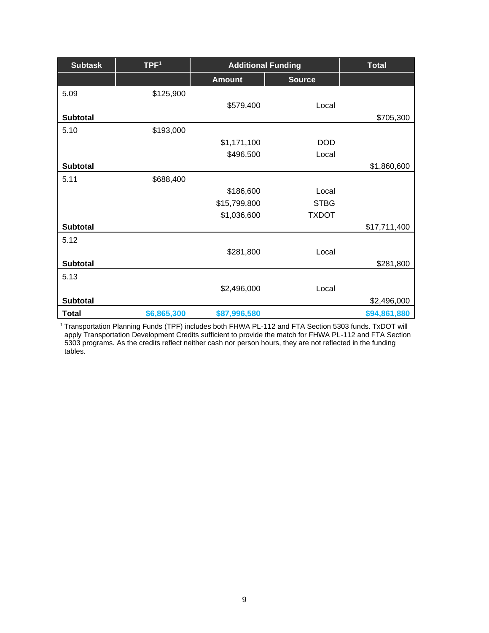| <b>Subtask</b>  | TPF <sup>1</sup> | <b>Additional Funding</b> | <b>Total</b>  |              |
|-----------------|------------------|---------------------------|---------------|--------------|
|                 |                  | <b>Amount</b>             | <b>Source</b> |              |
| 5.09            | \$125,900        |                           |               |              |
|                 |                  | \$579,400                 | Local         |              |
| <b>Subtotal</b> |                  |                           |               | \$705,300    |
| 5.10            | \$193,000        |                           |               |              |
|                 |                  | \$1,171,100               | <b>DOD</b>    |              |
|                 |                  | \$496,500                 | Local         |              |
| <b>Subtotal</b> |                  |                           |               | \$1,860,600  |
| 5.11            | \$688,400        |                           |               |              |
|                 |                  | \$186,600                 | Local         |              |
|                 |                  | \$15,799,800              | <b>STBG</b>   |              |
|                 |                  | \$1,036,600               | <b>TXDOT</b>  |              |
| <b>Subtotal</b> |                  |                           |               | \$17,711,400 |
| 5.12            |                  |                           |               |              |
|                 |                  | \$281,800                 | Local         |              |
| <b>Subtotal</b> |                  |                           |               | \$281,800    |
| 5.13            |                  |                           |               |              |
|                 |                  | \$2,496,000               | Local         |              |
| <b>Subtotal</b> |                  |                           |               | \$2,496,000  |
| <b>Total</b>    | \$6,865,300      | \$87,996,580              |               | \$94,861,880 |

<sup>1</sup>Transportation Planning Funds (TPF) includes both FHWA PL-112 and FTA Section 5303 funds. TxDOT will apply Transportation Development Credits sufficient to provide the match for FHWA PL-112 and FTA Section 5303 programs. As the credits reflect neither cash nor person hours, they are not reflected in the funding tables.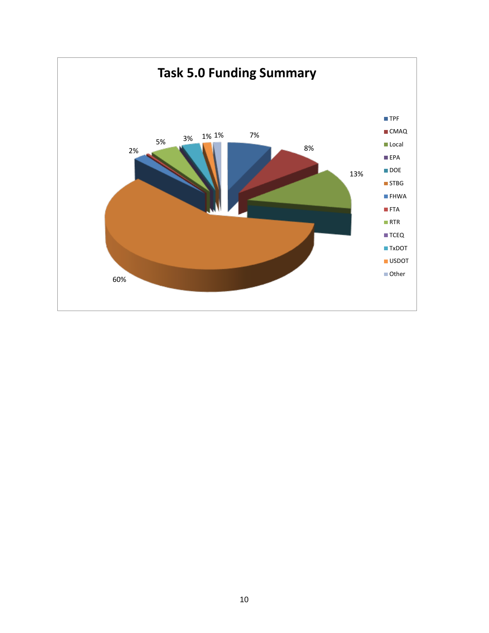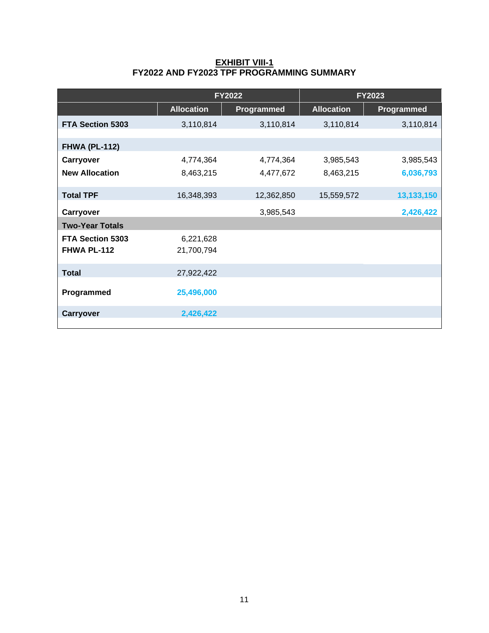#### **EXHIBIT VIII-1 FY2022 AND FY2023 TPF PROGRAMMING SUMMARY**

|                                        | <b>FY2022</b>           |            | <b>FY2023</b>     |            |  |
|----------------------------------------|-------------------------|------------|-------------------|------------|--|
|                                        | <b>Allocation</b>       | Programmed | <b>Allocation</b> | Programmed |  |
| <b>FTA Section 5303</b>                | 3,110,814               | 3,110,814  | 3,110,814         | 3,110,814  |  |
|                                        |                         |            |                   |            |  |
| <b>FHWA (PL-112)</b>                   |                         |            |                   |            |  |
| Carryover                              | 4,774,364               | 4,774,364  | 3,985,543         | 3,985,543  |  |
| <b>New Allocation</b>                  | 8,463,215               | 4,477,672  | 8,463,215         | 6,036,793  |  |
| <b>Total TPF</b>                       | 16,348,393              | 12,362,850 | 15,559,572        | 13,133,150 |  |
| Carryover                              |                         | 3,985,543  |                   | 2,426,422  |  |
| <b>Two-Year Totals</b>                 |                         |            |                   |            |  |
| <b>FTA Section 5303</b><br>FHWA PL-112 | 6,221,628<br>21,700,794 |            |                   |            |  |
|                                        |                         |            |                   |            |  |
| <b>Total</b>                           | 27,922,422              |            |                   |            |  |
| Programmed                             | 25,496,000              |            |                   |            |  |
| Carryover                              | 2,426,422               |            |                   |            |  |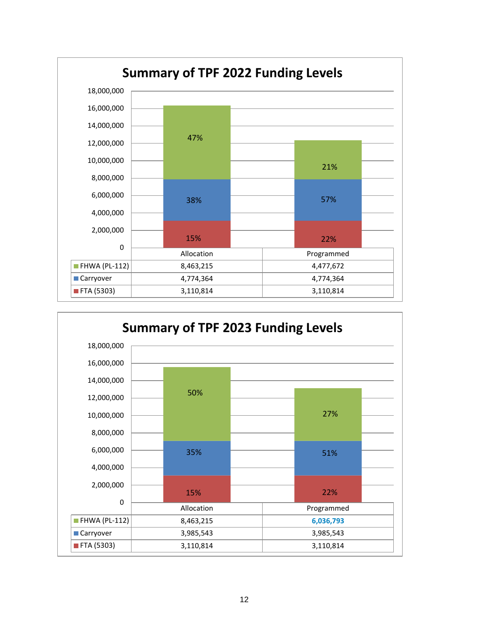

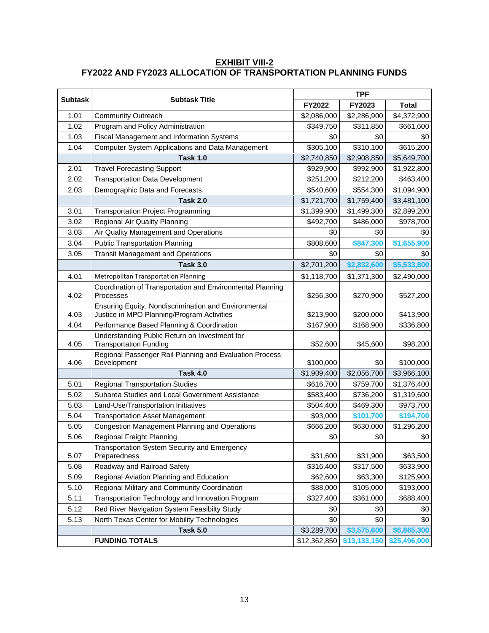## **EXHIBIT VIII-2 FY2022 AND FY2023 ALLOCATION OF TRANSPORTATION PLANNING FUNDS**

| <b>Subtask</b> |                                                                                                    | <b>TPF</b>  |             |                                           |  |
|----------------|----------------------------------------------------------------------------------------------------|-------------|-------------|-------------------------------------------|--|
|                | <b>Subtask Title</b>                                                                               | FY2022      | FY2023      | <b>Total</b>                              |  |
| 1.01           | <b>Community Outreach</b>                                                                          | \$2,086,000 | \$2,286,900 | \$4,372,900                               |  |
| 1.02           | Program and Policy Administration                                                                  | \$349,750   | \$311,850   | \$661,600                                 |  |
| 1.03           | <b>Fiscal Management and Information Systems</b>                                                   | \$0         | \$0         | \$0                                       |  |
| 1.04           | Computer System Applications and Data Management                                                   | \$305,100   | \$310,100   | \$615,200                                 |  |
|                | <b>Task 1.0</b>                                                                                    | \$2,740,850 | \$2,908,850 | \$5,649,700                               |  |
| 2.01           | <b>Travel Forecasting Support</b>                                                                  | \$929,900   | \$992,900   | \$1,922,800                               |  |
| 2.02           | <b>Transportation Data Development</b>                                                             | \$251,200   | \$212,200   | \$463,400                                 |  |
| 2.03           | Demographic Data and Forecasts                                                                     | \$540,600   | \$554,300   | \$1,094,900                               |  |
|                | <b>Task 2.0</b>                                                                                    | \$1,721,700 | \$1,759,400 | \$3,481,100                               |  |
| 3.01           | <b>Transportation Project Programming</b>                                                          | \$1,399,900 | \$1,499,300 | \$2,899,200                               |  |
| 3.02           | Regional Air Quality Planning                                                                      | \$492,700   | \$486,000   | \$978,700                                 |  |
| 3.03           | Air Quality Management and Operations                                                              | \$0         | \$0         | \$0                                       |  |
| 3.04           | <b>Public Transportation Planning</b>                                                              | \$808,600   | \$847,300   | \$1,655,900                               |  |
| 3.05           | <b>Transit Management and Operations</b>                                                           | \$0         | \$0         | \$0                                       |  |
|                | <b>Task 3.0</b>                                                                                    | \$2,701,200 | \$2,832,600 | \$5,533,800                               |  |
| 4.01           | <b>Metropolitan Transportation Planning</b>                                                        | \$1,118,700 | \$1,371,300 | \$2,490,000                               |  |
| 4.02           | Coordination of Transportation and Environmental Planning<br>Processes                             | \$256,300   | \$270,900   | \$527,200                                 |  |
| 4.03           | Ensuring Equity, Nondiscrimination and Environmental<br>Justice in MPO Planning/Program Activities | \$213,900   | \$200,000   | \$413,900                                 |  |
| 4.04           | Performance Based Planning & Coordination                                                          | \$167,900   | \$168,900   | \$336,800                                 |  |
| 4.05           | Understanding Public Return on Investment for<br><b>Transportation Funding</b>                     | \$52,600    | \$45,600    | \$98,200                                  |  |
| 4.06           | Regional Passenger Rail Planning and Evaluation Process<br>Development                             | \$100,000   | \$0         | \$100,000                                 |  |
|                | <b>Task 4.0</b>                                                                                    | \$1,909,400 | \$2,056,700 | \$3,966,100                               |  |
| 5.01           | <b>Regional Transportation Studies</b>                                                             | \$616,700   | \$759,700   | \$1,376,400                               |  |
| 5.02           | Subarea Studies and Local Government Assistance                                                    | \$583,400   | \$736,200   | \$1,319,600                               |  |
| 5.03           | Land-Use/Transportation Initiatives                                                                | \$504,400   | \$469,300   | \$973,700                                 |  |
| 5.04           | <b>Transportation Asset Management</b>                                                             | \$93,000    | \$101,700   | \$194,700                                 |  |
| 5.05           | Congestion Management Planning and Operations                                                      | \$666,200   | \$630,000   | \$1,296,200                               |  |
| 5.06           | Regional Freight Planning                                                                          | \$0         | \$0         | \$0                                       |  |
| 5.07           | Transportation System Security and Emergency<br>Preparedness                                       | \$31,600    | \$31,900    | \$63,500                                  |  |
| 5.08           | Roadway and Railroad Safety                                                                        | \$316,400   | \$317,500   | \$633,900                                 |  |
| 5.09           | Regional Aviation Planning and Education                                                           | \$62,600    | \$63,300    | \$125,900                                 |  |
| 5.10           | Regional Military and Community Coordination                                                       | \$88,000    | \$105,000   | \$193,000                                 |  |
| 5.11           | Transportation Technology and Innovation Program                                                   | \$327,400   | \$361,000   | \$688,400                                 |  |
| 5.12           | Red River Navigation System Feasibilty Study                                                       | \$0         | \$0         | \$0                                       |  |
| 5.13           | North Texas Center for Mobility Technologies                                                       | \$0         | \$0         | \$0                                       |  |
|                | <b>Task 5.0</b>                                                                                    | \$3,289,700 | \$3,575,600 | \$6,865,300                               |  |
|                | <b>FUNDING TOTALS</b>                                                                              |             |             | $$12,362,850$ $$13,133,150$ $$25,496,000$ |  |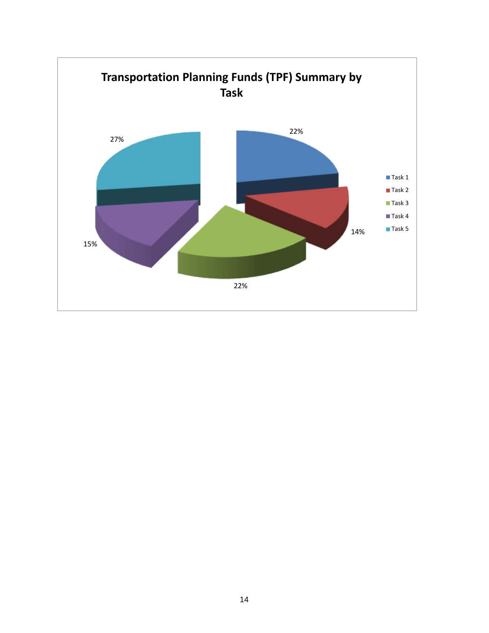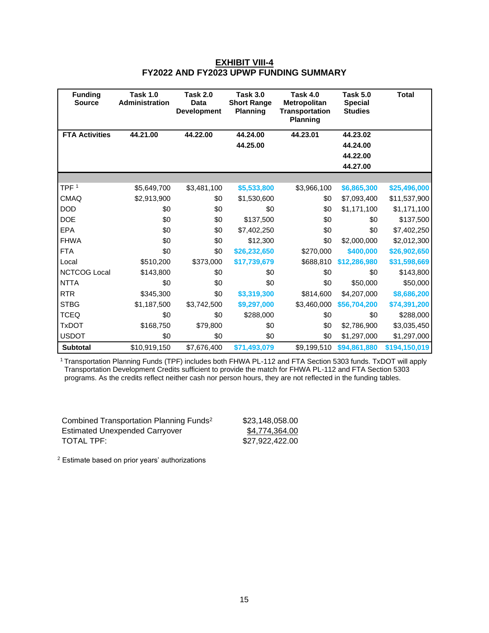#### **EXHIBIT VIII-4 FY2022 AND FY2023 UPWP FUNDING SUMMARY**

| <b>Funding</b><br><b>Source</b> | <b>Task 1.0</b><br><b>Administration</b> | <b>Task 2.0</b><br>Data<br><b>Development</b> | <b>Task 3.0</b><br><b>Short Range</b><br><b>Planning</b> | Task 4.0<br><b>Metropolitan</b><br><b>Transportation</b><br><b>Planning</b> | <b>Task 5.0</b><br><b>Special</b><br><b>Studies</b> | <b>Total</b>  |
|---------------------------------|------------------------------------------|-----------------------------------------------|----------------------------------------------------------|-----------------------------------------------------------------------------|-----------------------------------------------------|---------------|
| <b>FTA Activities</b>           | 44.21.00                                 | 44.22.00                                      | 44.24.00                                                 | 44.23.01                                                                    | 44.23.02                                            |               |
|                                 |                                          |                                               | 44.25.00                                                 |                                                                             | 44.24.00                                            |               |
|                                 |                                          |                                               |                                                          |                                                                             | 44.22.00                                            |               |
|                                 |                                          |                                               |                                                          |                                                                             | 44.27.00                                            |               |
| TPF <sup>1</sup>                |                                          |                                               |                                                          |                                                                             |                                                     |               |
|                                 | \$5,649,700                              | \$3,481,100                                   | \$5,533,800                                              | \$3,966,100                                                                 | \$6,865,300                                         | \$25,496,000  |
| <b>CMAQ</b>                     | \$2,913,900                              | \$0                                           | \$1,530,600                                              | \$0                                                                         | \$7,093,400                                         | \$11,537,900  |
| <b>DOD</b>                      | \$0                                      | \$0                                           | \$0                                                      | \$0                                                                         | \$1,171,100                                         | \$1,171,100   |
| <b>DOE</b>                      | \$0                                      | \$0                                           | \$137,500                                                | \$0                                                                         | \$0                                                 | \$137,500     |
| <b>EPA</b>                      | \$0                                      | \$0                                           | \$7,402,250                                              | \$0                                                                         | \$0                                                 | \$7,402,250   |
| <b>FHWA</b>                     | \$0                                      | \$0                                           | \$12,300                                                 | \$0                                                                         | \$2,000,000                                         | \$2,012,300   |
| <b>FTA</b>                      | \$0                                      | \$0                                           | \$26,232,650                                             | \$270,000                                                                   | \$400,000                                           | \$26,902,650  |
| Local                           | \$510,200                                | \$373,000                                     | \$17,739,679                                             | \$688,810                                                                   | \$12,286,980                                        | \$31,598,669  |
| <b>NCTCOG Local</b>             | \$143,800                                | \$0                                           | \$0                                                      | \$0                                                                         | \$0                                                 | \$143,800     |
| <b>NTTA</b>                     | \$0                                      | \$0                                           | \$0                                                      | \$0                                                                         | \$50,000                                            | \$50,000      |
| <b>RTR</b>                      | \$345,300                                | \$0                                           | \$3,319,300                                              | \$814,600                                                                   | \$4,207,000                                         | \$8,686,200   |
| <b>STBG</b>                     | \$1,187,500                              | \$3,742,500                                   | \$9,297,000                                              | \$3,460,000                                                                 | \$56,704,200                                        | \$74,391,200  |
| <b>TCEQ</b>                     | \$0                                      | \$0                                           | \$288,000                                                | \$0                                                                         | \$0                                                 | \$288,000     |
| <b>TxDOT</b>                    | \$168,750                                | \$79,800                                      | \$0                                                      | \$0                                                                         | \$2,786,900                                         | \$3,035,450   |
| <b>USDOT</b>                    | \$0                                      | \$0                                           | \$0                                                      | \$0                                                                         | \$1,297,000                                         | \$1,297,000   |
| Subtotal                        | \$10,919,150                             | \$7,676,400                                   | \$71,493,079                                             | \$9,199,510                                                                 | \$94,861,880                                        | \$194,150,019 |

<sup>1</sup>Transportation Planning Funds (TPF) includes both FHWA PL-112 and FTA Section 5303 funds. TxDOT will apply Transportation Development Credits sufficient to provide the match for FHWA PL-112 and FTA Section 5303 programs. As the credits reflect neither cash nor person hours, they are not reflected in the funding tables.

| Combined Transportation Planning Funds <sup>2</sup> | \$23,148,058.00 |
|-----------------------------------------------------|-----------------|
| Estimated Unexpended Carryover                      | \$4,774,364.00  |
| TOTAL TPF: I                                        | \$27,922,422.00 |

<sup>2</sup> Estimate based on prior years' authorizations